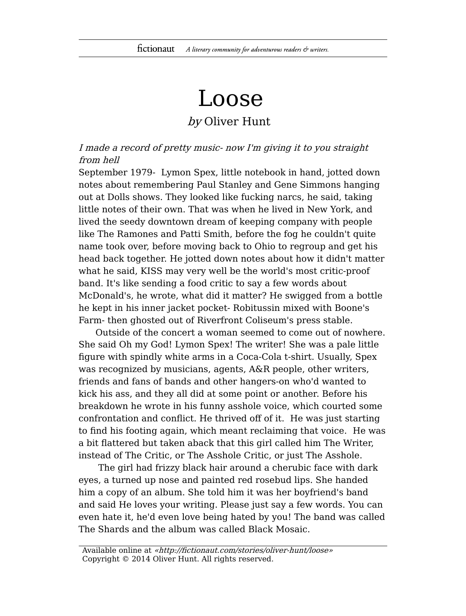## Loose

## by Oliver Hunt

I made a record of pretty music- now I'm giving it to you straight from hell

September 1979- Lymon Spex, little notebook in hand, jotted down notes about remembering Paul Stanley and Gene Simmons hanging out at Dolls shows. They looked like fucking narcs, he said, taking little notes of their own. That was when he lived in New York, and lived the seedy downtown dream of keeping company with people like The Ramones and Patti Smith, before the fog he couldn't quite name took over, before moving back to Ohio to regroup and get his head back together. He jotted down notes about how it didn't matter what he said, KISS may very well be the world's most critic-proof band. It's like sending a food critic to say a few words about McDonald's, he wrote, what did it matter? He swigged from a bottle he kept in his inner jacket pocket- Robitussin mixed with Boone's Farm- then ghosted out of Riverfront Coliseum's press stable.

Outside of the concert a woman seemed to come out of nowhere. She said Oh my God! Lymon Spex! The writer! She was a pale little figure with spindly white arms in a Coca-Cola t-shirt. Usually, Spex was recognized by musicians, agents, A&R people, other writers, friends and fans of bands and other hangers-on who'd wanted to kick his ass, and they all did at some point or another. Before his breakdown he wrote in his funny asshole voice, which courted some confrontation and conflict. He thrived off of it. He was just starting to find his footing again, which meant reclaiming that voice. He was a bit flattered but taken aback that this girl called him The Writer, instead of The Critic, or The Asshole Critic, or just The Asshole.

The girl had frizzy black hair around a cherubic face with dark eyes, a turned up nose and painted red rosebud lips. She handed him a copy of an album. She told him it was her boyfriend's band and said He loves your writing. Please just say a few words. You can even hate it, he'd even love being hated by you! The band was called The Shards and the album was called Black Mosaic.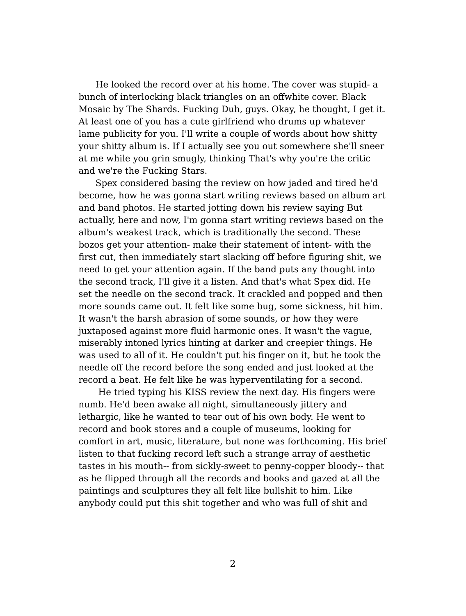He looked the record over at his home. The cover was stupid- a bunch of interlocking black triangles on an offwhite cover. Black Mosaic by The Shards. Fucking Duh, guys. Okay, he thought, I get it. At least one of you has a cute girlfriend who drums up whatever lame publicity for you. I'll write a couple of words about how shitty your shitty album is. If I actually see you out somewhere she'll sneer at me while you grin smugly, thinking That's why you're the critic and we're the Fucking Stars.

Spex considered basing the review on how jaded and tired he'd become, how he was gonna start writing reviews based on album art and band photos. He started jotting down his review saying But actually, here and now, I'm gonna start writing reviews based on the album's weakest track, which is traditionally the second. These bozos get your attention- make their statement of intent- with the first cut, then immediately start slacking off before figuring shit, we need to get your attention again. If the band puts any thought into the second track, I'll give it a listen. And that's what Spex did. He set the needle on the second track. It crackled and popped and then more sounds came out. It felt like some bug, some sickness, hit him. It wasn't the harsh abrasion of some sounds, or how they were juxtaposed against more fluid harmonic ones. It wasn't the vague, miserably intoned lyrics hinting at darker and creepier things. He was used to all of it. He couldn't put his finger on it, but he took the needle off the record before the song ended and just looked at the record a beat. He felt like he was hyperventilating for a second.

He tried typing his KISS review the next day. His fingers were numb. He'd been awake all night, simultaneously jittery and lethargic, like he wanted to tear out of his own body. He went to record and book stores and a couple of museums, looking for comfort in art, music, literature, but none was forthcoming. His brief listen to that fucking record left such a strange array of aesthetic tastes in his mouth-- from sickly-sweet to penny-copper bloody-- that as he flipped through all the records and books and gazed at all the paintings and sculptures they all felt like bullshit to him. Like anybody could put this shit together and who was full of shit and